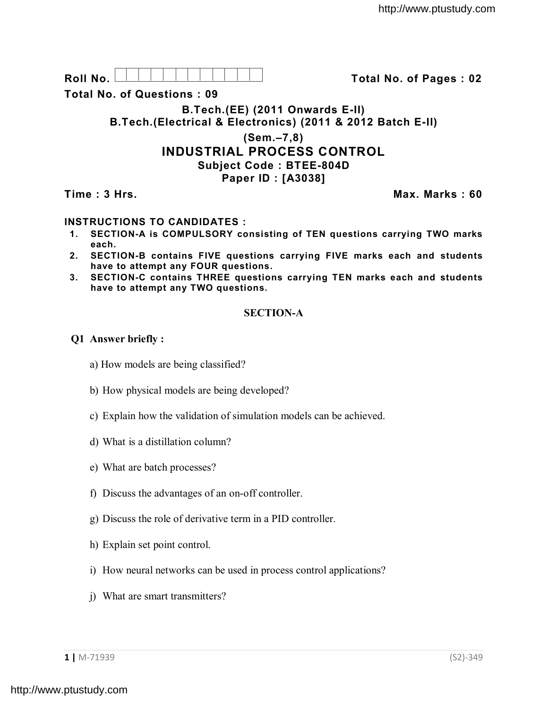**Roll No. Total No. of Pages : 02**

**Total No. of Questions : 09**

**B.Tech.(EE) (2011 Onwards E-II) B.Tech.(Electrical & Electronics) (2011 & 2012 Batch E-II)** 

# **(Sem.–7,8) INDUSTRIAL PROCESS CONTROL Subject Code : BTEE-804D**

**Paper ID : [A3038]**

**Time : 3 Hrs. Max. Marks : 60**

## **INSTRUCTIONS TO CANDIDATES :**

- **1. SECTION-A is COMPULSORY consisting of TEN questions carrying TWO marks each.**
- **2. SECTION-B contains FIVE questions carrying FIVE marks each and students have to attempt any FOUR questions.**
- **3. SECTION-C contains THREE questions carrying TEN marks each and students have to attempt any TWO questions.**

### **SECTION-A**

### **Q1 Answer briefly :**

- a) How models are being classified?
- b) How physical models are being developed?
- c) Explain how the validation of simulation models can be achieved.
- d) What is a distillation column?
- e) What are batch processes?
- f) Discuss the advantages of an on-off controller.
- g) Discuss the role of derivative term in a PID controller.
- h) Explain set point control.
- i) How neural networks can be used in process control applications?
- j) What are smart transmitters?